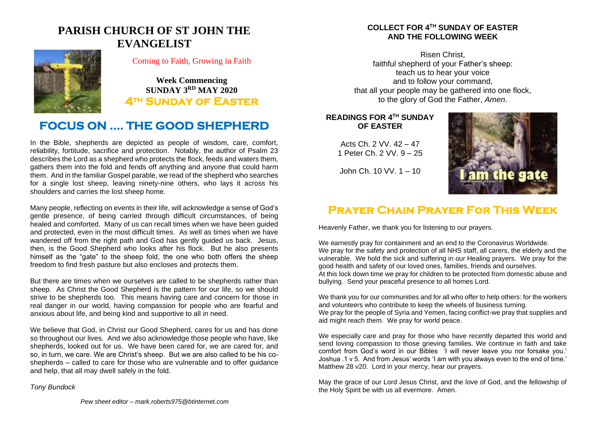## **PARISH CHURCH OF ST JOHN THE EVANGELIST**



### Coming to Faith, Growing in Faith

**Week Commencing SUNDAY 3 RD MAY 2020 4th Sunday of Easter** 

## **FOCUS ON …. THE GOOD SHEPHERD**

In the Bible, shepherds are depicted as people of wisdom, care, comfort, reliability, fortitude, sacrifice and protection. Notably, the author of Psalm 23 describes the Lord as a shepherd who protects the flock, feeds and waters them, gathers them into the fold and fends off anything and anyone that could harm them. And in the familiar Gospel parable, we read of the shepherd who searches for a single lost sheep, leaving ninety-nine others, who lays it across his shoulders and carries the lost sheep home.

Many people, reflecting on events in their life, will acknowledge a sense of God's gentle presence, of being carried through difficult circumstances, of being healed and comforted. Many of us can recall times when we have been guided and protected, even in the most difficult times. As well as times when we have wandered off from the right path and God has gently guided us back. Jesus, then, is the Good Shepherd who looks after his flock. But he also presents himself as the "gate" to the sheep fold, the one who both offers the sheep freedom to find fresh pasture but also encloses and protects them.

But there are times when we ourselves are called to be shepherds rather than sheep. As Christ the Good Shepherd is the pattern for our life, so we should strive to be shepherds too. This means having care and concern for those in real danger in our world, having compassion for people who are fearful and anxious about life, and being kind and supportive to all in need.

We believe that God, in Christ our Good Shepherd, cares for us and has done so throughout our lives. And we also acknowledge those people who have, like shepherds, looked out for us. We have been cared for, we are cared for, and so, in turn, we care. We are Christ's sheep. But we are also called to be his coshepherds – called to care for those who are vulnerable and to offer guidance and help, that all may dwell safely in the fold.

#### *Tony Bundock*

#### **COLLECT FOR 4 TH SUNDAY OF EASTER AND THE FOLLOWING WEEK**

Risen Christ, faithful shepherd of your Father's sheep: teach us to hear your voice and to follow your command, that all your people may be gathered into one flock, to the glory of God the Father, *Amen*.

### **READINGS FOR 4 TH SUNDAY OF EASTER**

Acts Ch. 2 VV. 42 – 47 1 Peter Ch. 2 VV. 9 – 25



John Ch. 10 VV. 1 – 10

## **Prayer Chain Prayer For This Week**

Heavenly Father, we thank you for listening to our prayers.

We earnestly pray for containment and an end to the Coronavirus Worldwide. We pray for the safety and protection of all NHS staff, all carers, the elderly and the vulnerable. We hold the sick and suffering in our Healing prayers. We pray for the good health and safety of our loved ones, families, friends and ourselves. At this lock down time we pray for children to be protected from domestic abuse and bullying. Send your peaceful presence to all homes Lord.

We thank you for our communities and for all who offer to help others: for the workers and volunteers who contribute to keep the wheels of business turning. We pray for the people of Syria and Yemen, facing conflict-we pray that supplies and aid might reach them. We pray for world peace.

We especially care and pray for those who have recently departed this world and send loving compassion to those grieving families. We continue in faith and take comfort from God's word in our Bibles 'I will never leave you nor forsake you.' Joshua .1 v 5. And from Jesus' words 'I am with you always even to the end of time.' Matthew 28 v20. Lord in your mercy, hear our prayers.

May the grace of our Lord Jesus Christ, and the love of God, and the fellowship of the Holy Spirit be with us all evermore. Amen.